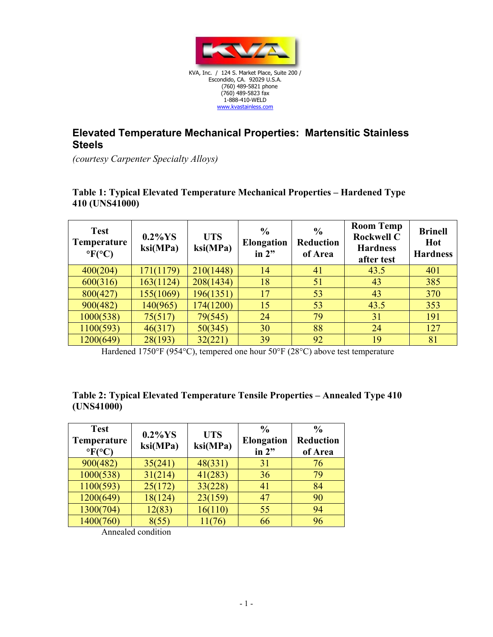

## **Elevated Temperature Mechanical Properties: Martensitic Stainless Steels**

*(courtesy Carpenter Specialty Alloys)* 

## **Table 1: Typical Elevated Temperature Mechanical Properties – Hardened Type 410 (UNS41000)**

| <b>Test</b><br>Temperature<br>$\rm{^{\circ}F(^{\circ}C)}$ | $0.2\%$ YS<br>ksi(MPa) | <b>UTS</b><br>ksi(MPa) | $\frac{6}{6}$<br><b>Elongation</b><br>in $2"$ | $\frac{0}{0}$<br><b>Reduction</b><br>of Area | <b>Room Temp</b><br><b>Rockwell C</b><br><b>Hardness</b><br>after test | <b>Brinell</b><br>Hot<br><b>Hardness</b> |
|-----------------------------------------------------------|------------------------|------------------------|-----------------------------------------------|----------------------------------------------|------------------------------------------------------------------------|------------------------------------------|
| 400(204)                                                  | 171(1179)              | 210(1448)              | 14                                            | 41                                           | 43.5                                                                   | 401                                      |
| 600(316)                                                  | 163(1124)              | 208(1434)              | 18                                            | 51                                           | 43                                                                     | 385                                      |
| 800(427)                                                  | 155(1069)              | 196(1351)              | 17                                            | 53                                           | 43                                                                     | 370                                      |
| 900(482)                                                  | 140(965)               | 174(1200)              | 15                                            | 53                                           | 43.5                                                                   | 353                                      |
| 1000(538)                                                 | 75(517)                | 79(545)                | 24                                            | 79                                           | 31                                                                     | 191                                      |
| 1100(593)                                                 | 46(317)                | 50(345)                | 30                                            | 88                                           | 24                                                                     | 127                                      |
| 1200(649)                                                 | 28(193)                | 32(221)                | 39                                            | 92                                           | 19                                                                     | 81                                       |

Hardened 1750°F (954°C), tempered one hour 50°F (28°C) above test temperature

## **Table 2: Typical Elevated Temperature Tensile Properties – Annealed Type 410 (UNS41000)**

| <b>Test</b><br><b>Temperature</b><br>$\rm{PFC}$ | $0.2\%$ YS<br>ksi(MPa) | <b>UTS</b><br>ksi(MPa) | $\frac{6}{9}$<br><b>Elongation</b><br>in $2"$ | $\frac{0}{0}$<br><b>Reduction</b><br>of Area |
|-------------------------------------------------|------------------------|------------------------|-----------------------------------------------|----------------------------------------------|
| 900(482)                                        | 35(241)                | 48(331)                | 31                                            | 76                                           |
| 1000(538)                                       | 31(214)                | 41(283)                | 36                                            | 79                                           |
| 1100(593)                                       | 25(172)                | 33(228)                | 41                                            | 84                                           |
| 1200(649)                                       | 18(124)                | 23(159)                | 47                                            | 90                                           |
| 1300(704)                                       | 12(83)                 | 16(110)                | 55                                            | 94                                           |
| 1400(760)                                       | 8(55)                  | 11(76)                 | 66                                            | 96                                           |

Annealed condition